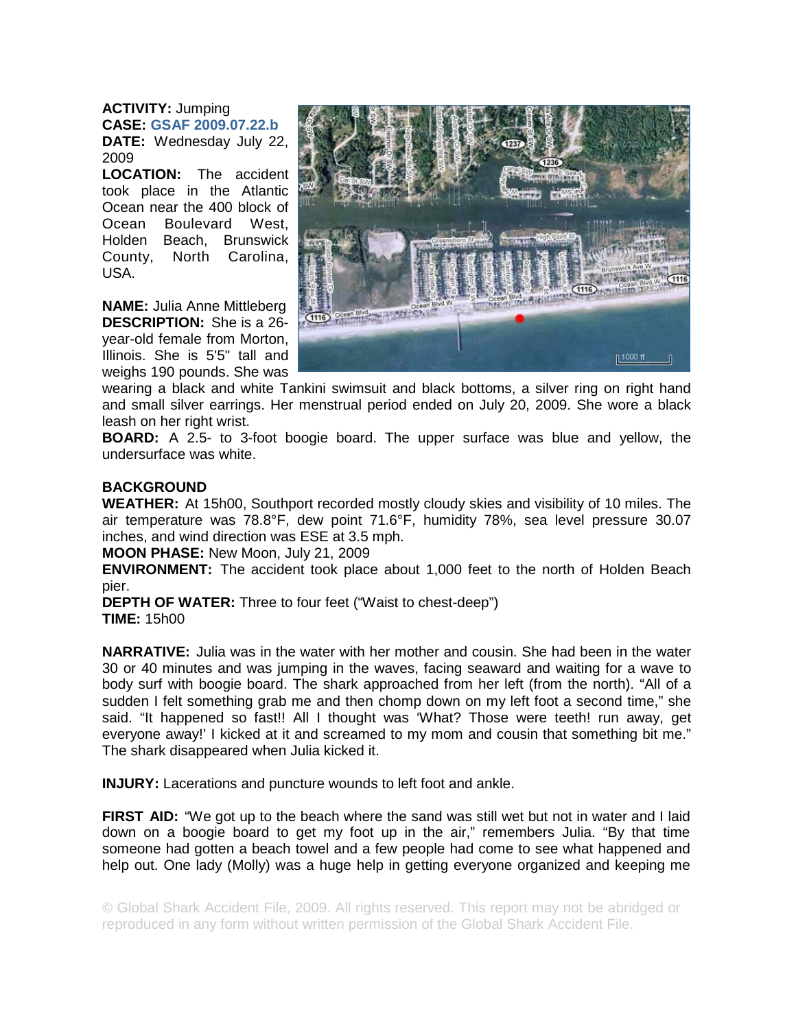**ACTIVITY:** Jumping **CASE: GSAF 2009.07.22.b DATE:** Wednesday July 22, 2009

**LOCATION:** The accident took place in the Atlantic Ocean near the 400 block of Ocean Boulevard West, Holden Beach, Brunswick County, North Carolina, USA.

**NAME:** Julia Anne Mittleberg **DESCRIPTION:** She is a 26 year-old female from Morton, Illinois. She is 5'5" tall and weighs 190 pounds. She was



wearing a black and white Tankini swimsuit and black bottoms, a silver ring on right hand and small silver earrings. Her menstrual period ended on July 20, 2009. She wore a black leash on her right wrist.

**BOARD:** A 2.5- to 3-foot boogie board. The upper surface was blue and yellow, the undersurface was white.

## **BACKGROUND**

**WEATHER:** At 15h00, Southport recorded mostly cloudy skies and visibility of 10 miles. The air temperature was 78.8°F, dew point 71.6°F, humidity 78%, sea level pressure 30.07 inches, and wind direction was ESE at 3.5 mph.

**MOON PHASE:** New Moon, July 21, 2009

**ENVIRONMENT:** The accident took place about 1,000 feet to the north of Holden Beach pier.

**DEPTH OF WATER:** Three to four feet ("Waist to chest-deep") **TIME:** 15h00

**NARRATIVE:** Julia was in the water with her mother and cousin. She had been in the water 30 or 40 minutes and was jumping in the waves, facing seaward and waiting for a wave to body surf with boogie board. The shark approached from her left (from the north). "All of a sudden I felt something grab me and then chomp down on my left foot a second time," she said. "It happened so fast!! All I thought was 'What? Those were teeth! run away, get everyone away!' I kicked at it and screamed to my mom and cousin that something bit me." The shark disappeared when Julia kicked it.

**INJURY:** Lacerations and puncture wounds to left foot and ankle.

**FIRST AID:** "We got up to the beach where the sand was still wet but not in water and I laid down on a boogie board to get my foot up in the air," remembers Julia. "By that time someone had gotten a beach towel and a few people had come to see what happened and help out. One lady (Molly) was a huge help in getting everyone organized and keeping me

© Global Shark Accident File, 2009. All rights reserved. This report may not be abridged or reproduced in any form without written permission of the Global Shark Accident File.